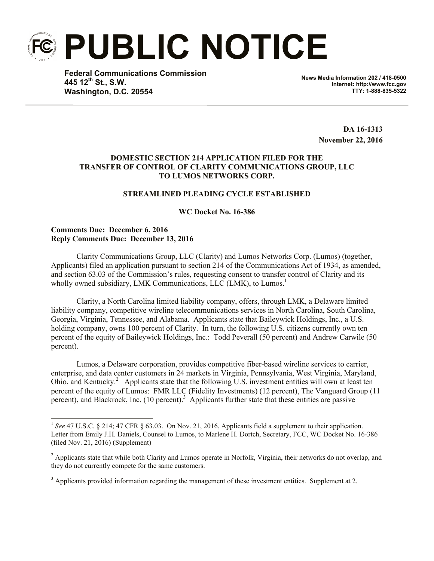**PUBLIC NOTICE**

**Federal Communications Commission 445 12th St., S.W. Washington, D.C. 20554**

**News Media Information 202 / 418-0500 Internet: http://www.fcc.gov TTY: 1-888-835-5322**

> **DA 16-1313 November 22, 2016**

## **DOMESTIC SECTION 214 APPLICATION FILED FOR THE TRANSFER OF CONTROL OF CLARITY COMMUNICATIONS GROUP, LLC TO LUMOS NETWORKS CORP.**

### **STREAMLINED PLEADING CYCLE ESTABLISHED**

### **WC Docket No. 16-386**

### **Comments Due: December 6, 2016 Reply Comments Due: December 13, 2016**

l

Clarity Communications Group, LLC (Clarity) and Lumos Networks Corp. (Lumos) (together, Applicants) filed an application pursuant to section 214 of the Communications Act of 1934, as amended, and section 63.03 of the Commission's rules, requesting consent to transfer control of Clarity and its wholly owned subsidiary, LMK Communications, LLC (LMK), to Lumos.<sup>1</sup>

Clarity, a North Carolina limited liability company, offers, through LMK, a Delaware limited liability company, competitive wireline telecommunications services in North Carolina, South Carolina, Georgia, Virginia, Tennessee, and Alabama. Applicants state that Baileywick Holdings, Inc., a U.S. holding company, owns 100 percent of Clarity. In turn, the following U.S. citizens currently own ten percent of the equity of Baileywick Holdings, Inc.: Todd Peverall (50 percent) and Andrew Carwile (50 percent).

Lumos, a Delaware corporation, provides competitive fiber-based wireline services to carrier, enterprise, and data center customers in 24 markets in Virginia, Pennsylvania, West Virginia, Maryland, Ohio, and Kentucky.<sup>2</sup> Applicants state that the following U.S. investment entities will own at least ten percent of the equity of Lumos: FMR LLC (Fidelity Investments) (12 percent), The Vanguard Group (11 percent), and Blackrock, Inc. (10 percent).<sup>3</sup> Applicants further state that these entities are passive

<sup>&</sup>lt;sup>1</sup> See 47 U.S.C. § 214; 47 CFR § 63.03. On Nov. 21, 2016, Applicants field a supplement to their application. Letter from Emily J.H. Daniels, Counsel to Lumos, to Marlene H. Dortch, Secretary, FCC, WC Docket No. 16-386 (filed Nov. 21, 2016) (Supplement)

<sup>&</sup>lt;sup>2</sup> Applicants state that while both Clarity and Lumos operate in Norfolk, Virginia, their networks do not overlap, and they do not currently compete for the same customers.

 $3$  Applicants provided information regarding the management of these investment entities. Supplement at 2.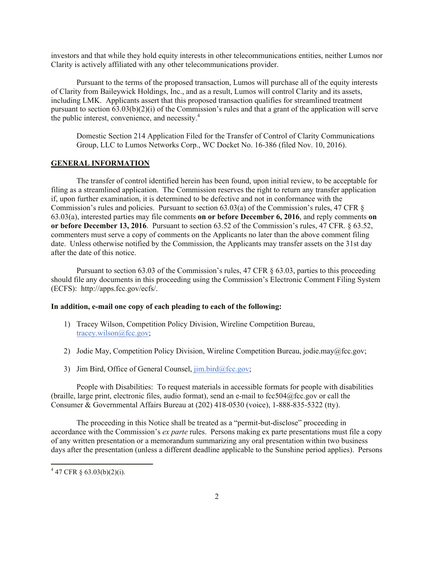investors and that while they hold equity interests in other telecommunications entities, neither Lumos nor Clarity is actively affiliated with any other telecommunications provider.

Pursuant to the terms of the proposed transaction, Lumos will purchase all of the equity interests of Clarity from Baileywick Holdings, Inc., and as a result, Lumos will control Clarity and its assets, including LMK. Applicants assert that this proposed transaction qualifies for streamlined treatment pursuant to section 63.03(b)(2)(i) of the Commission's rules and that a grant of the application will serve the public interest, convenience, and necessity.<sup>4</sup>

Domestic Section 214 Application Filed for the Transfer of Control of Clarity Communications Group, LLC to Lumos Networks Corp., WC Docket No. 16-386 (filed Nov. 10, 2016).

# **GENERAL INFORMATION**

The transfer of control identified herein has been found, upon initial review, to be acceptable for filing as a streamlined application. The Commission reserves the right to return any transfer application if, upon further examination, it is determined to be defective and not in conformance with the Commission's rules and policies. Pursuant to section 63.03(a) of the Commission's rules, 47 CFR § 63.03(a), interested parties may file comments **on or before December 6, 2016**, and reply comments **on or before December 13, 2016**. Pursuant to section 63.52 of the Commission's rules, 47 CFR. § 63.52, commenters must serve a copy of comments on the Applicants no later than the above comment filing date. Unless otherwise notified by the Commission, the Applicants may transfer assets on the 31st day after the date of this notice.

Pursuant to section 63.03 of the Commission's rules, 47 CFR § 63.03, parties to this proceeding should file any documents in this proceeding using the Commission's Electronic Comment Filing System (ECFS): http://apps.fcc.gov/ecfs/.

#### **In addition, e-mail one copy of each pleading to each of the following:**

- 1) Tracey Wilson, Competition Policy Division, Wireline Competition Bureau, tracey.wilson@fcc.gov;
- 2) Jodie May, Competition Policy Division, Wireline Competition Bureau, jodie.may@fcc.gov;
- 3) Jim Bird, Office of General Counsel,  $\overline{\lim_{b} \cdot \lim_{c} \cdot \lim_{c} \cdot \cos_{c}}$

People with Disabilities: To request materials in accessible formats for people with disabilities (braille, large print, electronic files, audio format), send an e-mail to fcc504@fcc.gov or call the Consumer & Governmental Affairs Bureau at (202) 418-0530 (voice), 1-888-835-5322 (tty).

The proceeding in this Notice shall be treated as a "permit-but-disclose" proceeding in accordance with the Commission's *ex parte* rules. Persons making ex parte presentations must file a copy of any written presentation or a memorandum summarizing any oral presentation within two business days after the presentation (unless a different deadline applicable to the Sunshine period applies). Persons

l

 $447$  CFR § 63.03(b)(2)(i).